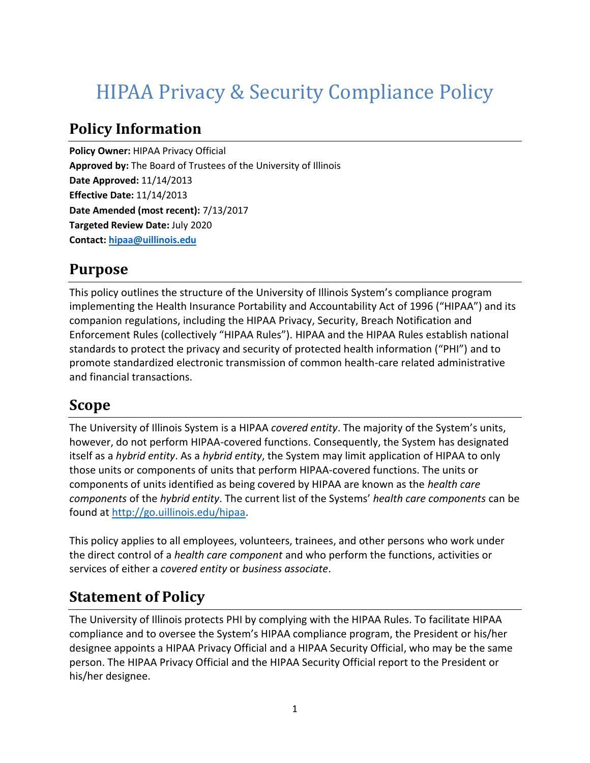# HIPAA Privacy & Security Compliance Policy

#### **Policy Information**

**Policy Owner:** HIPAA Privacy Official **Approved by:** The Board of Trustees of the University of Illinois **Date Approved:** 11/14/2013 **Effective Date:** 11/14/2013 **Date Amended (most recent):** 7/13/2017 **Targeted Review Date:** July 2020 **Contact: [hipaa@uillinois.edu](mailto:hipaa@uillinois.edu)**

#### **Purpose**

This policy outlines the structure of the University of Illinois System's compliance program implementing the Health Insurance Portability and Accountability Act of 1996 ("HIPAA") and its companion regulations, including the HIPAA Privacy, Security, Breach Notification and Enforcement Rules (collectively "HIPAA Rules"). HIPAA and the HIPAA Rules establish national standards to protect the privacy and security of protected health information ("PHI") and to promote standardized electronic transmission of common health-care related administrative and financial transactions.

## **Scope**

The University of Illinois System is a HIPAA *covered entity*. The majority of the System's units, however, do not perform HIPAA-covered functions. Consequently, the System has designated itself as a *hybrid entity*. As a *hybrid entity*, the System may limit application of HIPAA to only those units or components of units that perform HIPAA-covered functions. The units or components of units identified as being covered by HIPAA are known as the *health care components* of the *hybrid entity*. The current list of the Systems' *health care components* can be found at [http://go.uillinois.edu/hipaa.](http://go.uillinois.edu/hipaa)

This policy applies to all employees, volunteers, trainees, and other persons who work under the direct control of a *health care component* and who perform the functions, activities or services of either a *covered entity* or *business associate*.

# **Statement of Policy**

The University of Illinois protects PHI by complying with the HIPAA Rules. To facilitate HIPAA compliance and to oversee the System's HIPAA compliance program, the President or his/her designee appoints a HIPAA Privacy Official and a HIPAA Security Official, who may be the same person. The HIPAA Privacy Official and the HIPAA Security Official report to the President or his/her designee.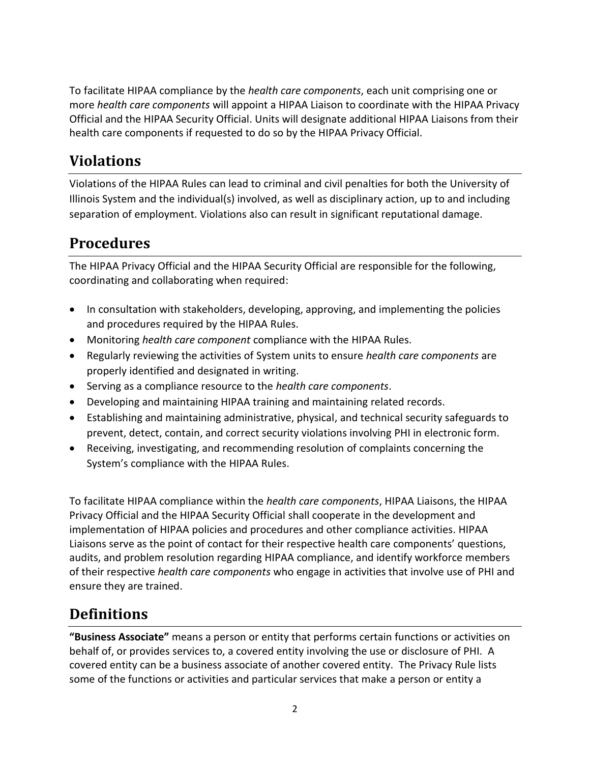To facilitate HIPAA compliance by the *health care components*, each unit comprising one or more *health care components* will appoint a HIPAA Liaison to coordinate with the HIPAA Privacy Official and the HIPAA Security Official. Units will designate additional HIPAA Liaisons from their health care components if requested to do so by the HIPAA Privacy Official.

#### **Violations**

Violations of the HIPAA Rules can lead to criminal and civil penalties for both the University of Illinois System and the individual(s) involved, as well as disciplinary action, up to and including separation of employment. Violations also can result in significant reputational damage.

#### **Procedures**

The HIPAA Privacy Official and the HIPAA Security Official are responsible for the following, coordinating and collaborating when required:

- In consultation with stakeholders, developing, approving, and implementing the policies and procedures required by the HIPAA Rules.
- Monitoring *health care component* compliance with the HIPAA Rules.
- Regularly reviewing the activities of System units to ensure *health care components* are properly identified and designated in writing.
- Serving as a compliance resource to the *health care components*.
- Developing and maintaining HIPAA training and maintaining related records.
- Establishing and maintaining administrative, physical, and technical security safeguards to prevent, detect, contain, and correct security violations involving PHI in electronic form.
- Receiving, investigating, and recommending resolution of complaints concerning the System's compliance with the HIPAA Rules.

To facilitate HIPAA compliance within the *health care components*, HIPAA Liaisons, the HIPAA Privacy Official and the HIPAA Security Official shall cooperate in the development and implementation of HIPAA policies and procedures and other compliance activities. HIPAA Liaisons serve as the point of contact for their respective health care components' questions, audits, and problem resolution regarding HIPAA compliance, and identify workforce members of their respective *health care components* who engage in activities that involve use of PHI and ensure they are trained.

#### **Definitions**

**"Business Associate"** means a person or entity that performs certain functions or activities on behalf of, or provides services to, a covered entity involving the use or disclosure of PHI. A covered entity can be a business associate of another covered entity. The Privacy Rule lists some of the functions or activities and particular services that make a person or entity a